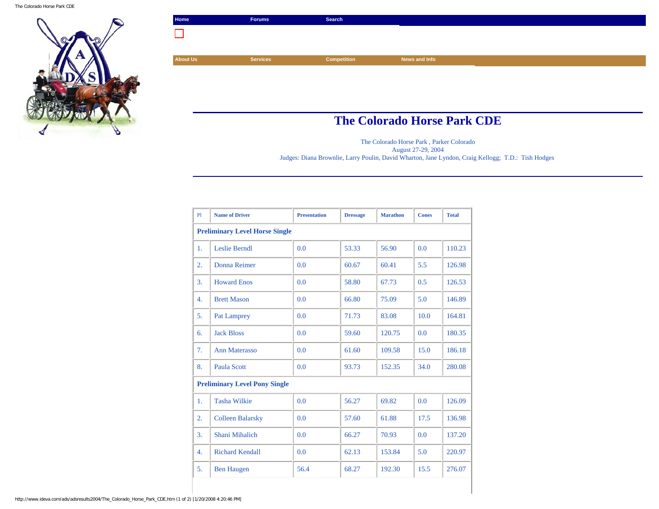The Colorado Horse Park CDE



| Competition<br><b>About Us</b><br><b>Services</b><br>News and Info | Home | Forums | Search |  |
|--------------------------------------------------------------------|------|--------|--------|--|
|                                                                    |      |        |        |  |
|                                                                    |      |        |        |  |
|                                                                    |      |        |        |  |
|                                                                    |      |        |        |  |
|                                                                    |      |        |        |  |
|                                                                    |      |        |        |  |
|                                                                    |      |        |        |  |

## **The Colorado Horse Park CDE**

The Colorado Horse Park , Parker Colorado August 27-29, 2004 Judges: Diana Brownlie, Larry Poulin, David Wharton, Jane Lyndon, Craig Kellogg; T.D.: Tish Hodges

| P1                                    | <b>Name of Driver</b>   | <b>Presentation</b> | <b>Dressage</b> | <b>Marathon</b> | <b>Cones</b> | <b>Total</b> |  |  |
|---------------------------------------|-------------------------|---------------------|-----------------|-----------------|--------------|--------------|--|--|
| <b>Preliminary Level Horse Single</b> |                         |                     |                 |                 |              |              |  |  |
| 1.                                    | <b>Leslie Berndl</b>    | 0.0                 | 53.33           | 56.90           | 0.0          | 110.23       |  |  |
| $\overline{2}$ .                      | Donna Reimer            | 0.0                 | 60.67           | 60.41           | 5.5          | 126.98       |  |  |
| 3.                                    | <b>Howard Enos</b>      | 0.0                 | 58.80           | 67.73           | 0.5          | 126.53       |  |  |
| 4.                                    | <b>Brett Mason</b>      | 0.0                 | 66.80           | 75.09           | 5.0          | 146.89       |  |  |
| 5.                                    | Pat Lamprey             | 0.0                 | 71.73           | 83.08           | 10.0         | 164.81       |  |  |
| 6.                                    | <b>Jack Bloss</b>       | 0.0                 | 59.60           | 120.75          | 0.0          | 180.35       |  |  |
| 7.                                    | <b>Ann Materasso</b>    | 0.0                 | 61.60           | 109.58          | 15.0         | 186.18       |  |  |
| 8.                                    | Paula Scott             | 0.0                 | 93.73           | 152.35          | 34.0         | 280.08       |  |  |
| <b>Preliminary Level Pony Single</b>  |                         |                     |                 |                 |              |              |  |  |
| 1.                                    | <b>Tasha Wilkie</b>     | 0.0                 | 56.27           | 69.82           | 0.0          | 126.09       |  |  |
| $\overline{2}$ .                      | <b>Colleen Balarsky</b> | 0.0                 | 57.60           | 61.88           | 17.5         | 136.98       |  |  |
| 3.                                    | <b>Shani Mihalich</b>   | 0.0                 | 66.27           | 70.93           | 0.0          | 137.20       |  |  |
| 4.                                    | <b>Richard Kendall</b>  | 0.0                 | 62.13           | 153.84          | 5.0          | 220.97       |  |  |
| 5.                                    | <b>Ben Haugen</b>       | 56.4                | 68.27           | 192.30          | 15.5         | 276.07       |  |  |